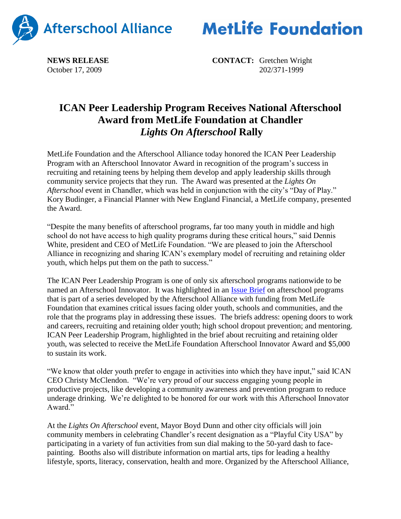



**NEWS RELEASE CONTACT:** Gretchen Wright October 17, 2009 202/371-1999

## **ICAN Peer Leadership Program Receives National Afterschool Award from MetLife Foundation at Chandler** *Lights On Afterschool* **Rally**

MetLife Foundation and the Afterschool Alliance today honored the ICAN Peer Leadership Program with an Afterschool Innovator Award in recognition of the program's success in recruiting and retaining teens by helping them develop and apply leadership skills through community service projects that they run. The Award was presented at the *Lights On Afterschool* event in Chandler, which was held in conjunction with the city's "Day of Play." Kory Budinger, a Financial Planner with New England Financial, a MetLife company, presented the Award.

"Despite the many benefits of afterschool programs, far too many youth in middle and high school do not have access to high quality programs during these critical hours," said Dennis White, president and CEO of MetLife Foundation. "We are pleased to join the Afterschool Alliance in recognizing and sharing ICAN's exemplary model of recruiting and retaining older youth, which helps put them on the path to success."

The ICAN Peer Leadership Program is one of only six afterschool programs nationwide to be named an Afterschool Innovator. It was highlighted in an [Issue Brief](http://www.afterschoolalliance.org/issue_briefs/RecruitmentandRetention%20Brief%2037%20FINAL.pdf) on afterschool programs that is part of a series developed by the Afterschool Alliance with funding from MetLife Foundation that examines critical issues facing older youth, schools and communities, and the role that the programs play in addressing these issues. The briefs address: opening doors to work and careers, recruiting and retaining older youth; high school dropout prevention; and mentoring. ICAN Peer Leadership Program, highlighted in the brief about recruiting and retaining older youth, was selected to receive the MetLife Foundation Afterschool Innovator Award and \$5,000 to sustain its work.

"We know that older youth prefer to engage in activities into which they have input," said ICAN CEO Christy McClendon. "We're very proud of our success engaging young people in productive projects, like developing a community awareness and prevention program to reduce underage drinking. We're delighted to be honored for our work with this Afterschool Innovator Award."

At the *Lights On Afterschool* event, Mayor Boyd Dunn and other city officials will join community members in celebrating Chandler's recent designation as a "Playful City USA" by participating in a variety of fun activities from sun dial making to the 50-yard dash to facepainting. Booths also will distribute information on martial arts, tips for leading a healthy lifestyle, sports, literacy, conservation, health and more. Organized by the Afterschool Alliance,